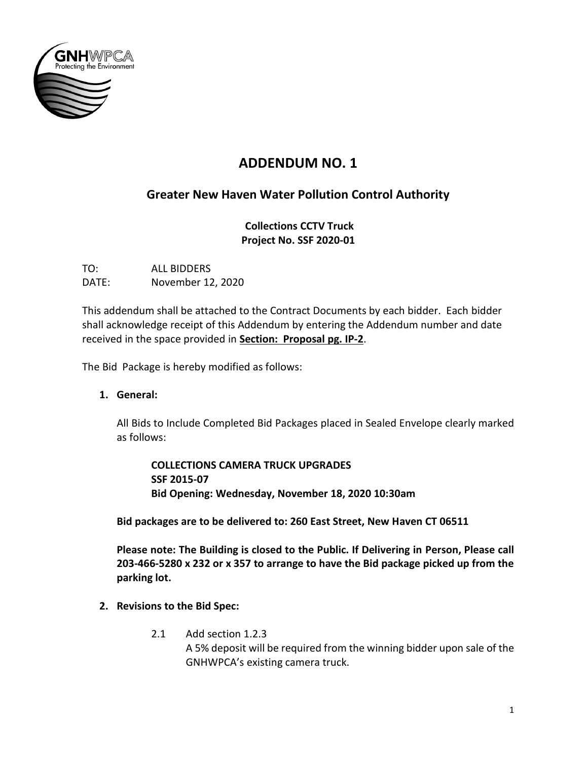

# **ADDENDUM NO. 1**

## **Greater New Haven Water Pollution Control Authority**

**Collections CCTV Truck Project No. SSF 2020-01**

TO: ALL BIDDERS DATE: November 12, 2020

This addendum shall be attached to the Contract Documents by each bidder. Each bidder shall acknowledge receipt of this Addendum by entering the Addendum number and date received in the space provided in **Section: Proposal pg. IP-2**.

The Bid Package is hereby modified as follows:

**1. General:**

All Bids to Include Completed Bid Packages placed in Sealed Envelope clearly marked as follows:

**COLLECTIONS CAMERA TRUCK UPGRADES SSF 2015-07 Bid Opening: Wednesday, November 18, 2020 10:30am**

**Bid packages are to be delivered to: 260 East Street, New Haven CT 06511**

**Please note: The Building is closed to the Public. If Delivering in Person, Please call 203-466-5280 x 232 or x 357 to arrange to have the Bid package picked up from the parking lot.**

- **2. Revisions to the Bid Spec:**
	- 2.1 Add section 1.2.3 A 5% deposit will be required from the winning bidder upon sale of the GNHWPCA's existing camera truck.